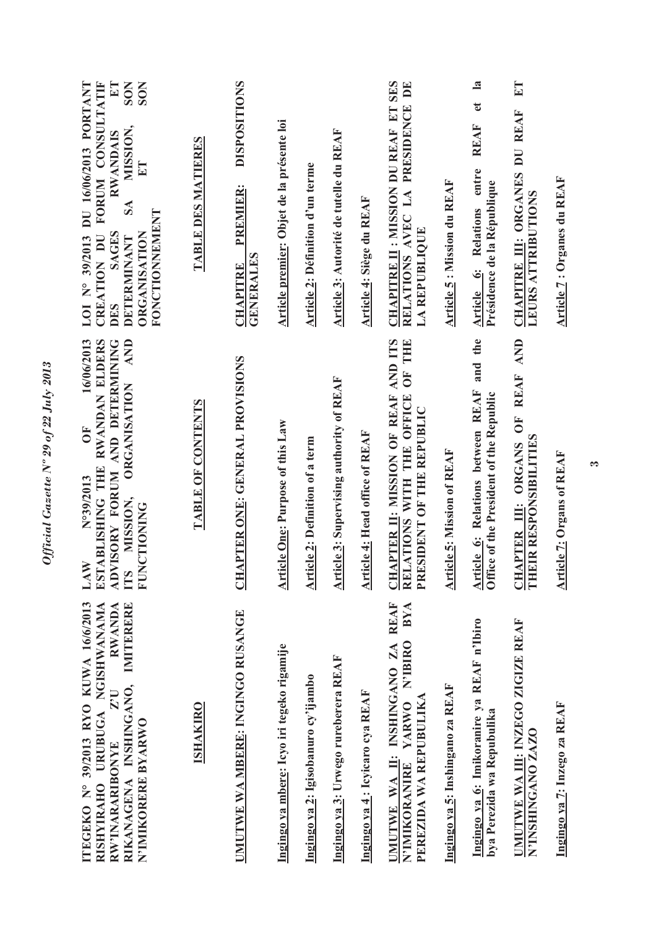| CREATION DU FORUM CONSULTATIF<br>LOI N° 39/2013 DU 16/06/2013 PORTANT<br>$E\mathbb{T}$<br><b>SON</b><br><b>SON</b><br>MISSION,<br><b>RWANDAIS</b><br>E<br>SA<br>FONCTIONNEMENT<br><b>SAGES</b><br><b>ORGANISATION</b><br>DETERMINANT<br><b>DES</b> | TABLE DES MATIERES | <b>DISPOSITIONS</b><br><b>PREMIER:</b><br><b>GENERALES</b><br><b>CHAPITRE</b> | Article premier: Objet de la présente loi  | <b>Article 2: Définition d'un terme</b> | Article 3: Autorité de tutelle du REAF          | Article 4: Siège du REAF        | <b>CHAPITRE II: MISSION DU REAF ET SES</b><br>RELATIONS AVEC LA PRESIDENCE DE<br>LA REPUBLIQUE              | <b>Article 5: Mission du REAF</b> | $\mathbf{a}$<br>$\mathbf{e}$<br><b>REAF</b><br>Article 6: Relations entre<br>Présidence de la République | $E$ T<br>CHAPITRE III: ORGANES DU REAF<br><b>LEURS ATTRIBUTIONS</b> | <b>Article 7: Organes du REAF</b> |
|----------------------------------------------------------------------------------------------------------------------------------------------------------------------------------------------------------------------------------------------------|--------------------|-------------------------------------------------------------------------------|--------------------------------------------|-----------------------------------------|-------------------------------------------------|---------------------------------|-------------------------------------------------------------------------------------------------------------|-----------------------------------|----------------------------------------------------------------------------------------------------------|---------------------------------------------------------------------|-----------------------------------|
| 16/06/2013<br>AND<br>ESTABLISHING THE RWANDAN ELDERS<br>ADVISORY FORUM AND DETERMINING<br><b>ORGANISATION</b><br>ÖF<br>N°39/2013<br>MISSION,<br><b>FUNCTIONING</b><br>LAW<br>LTS                                                                   | TABLE OF CONTENTS  | CHAPTER ONE: GENERAL PROVISIONS                                               | <b>Article One: Purpose of this Law</b>    | <b>Article 2: Definition of a term</b>  | <b>Article 3: Supervising authority of REAF</b> | Article 4: Head office of REAF  | CHAPTER II: MISSION OF REAF AND ITS<br>OF THE<br>ATIONS WITH THE OFFICE<br>PRESIDENT OF THE REPUBLIC<br>REI | <b>Article 5: Mission of REAF</b> | and the<br>Article 6: Relations between REAF<br>Office of the President of the Republic                  | OF REAF AND<br>EIR RESPONSIBILITIES<br>CHAPTER III: ORGANS<br>E     | <b>Article 7: Organs of REAF</b>  |
| ITEGEKO Nº 39/2013 RYO KUWA 16/6/2013<br>IMITERERE<br>RISHYIRAHO URUBUGA NGISHWANAMA<br>RWANDA<br>RIKANAGENA INSHINGANO,<br>Z <sub>1</sub><br>N'IMIKORERE BYARWO<br>RW'INARARIBONYE                                                                | <b>ISHAKIRO</b>    | UMUTWE WA MBERE: INGINGO RUSANGE                                              | Ingingo ya mbere: Icyo iri tegeko rigamije | Ingingo ya 2: Igisobanuro cy'ijambo     | Ingingo ya 3: Urwego rureberera REAF            | Ingingo ya 4: Icyicaro cya REAF | UMUTWE WA II: INSHINGANO ZA REAF<br>BYA<br>N'IBIRO<br>PEREZIDA WA REPUBULIKA<br>N'IMIKORANIRE YARWO         | Ingingo ya 5: Inshingano za REAF  | Ingingo ya 6: Imikoranire ya REAF n'Ibiro<br>bya Perezida wa Repubulika                                  | UMUTWE WA III: INZEGO ZIGIZE REAF<br>N'INSHINGANO ZAZO              | Ingingo ya 7: Inzego za REAF      |

Official Gazette Nº 29 of 22 July 2013 *Official Gazette Nº 29 of 22 July 2013* 

 $\bullet$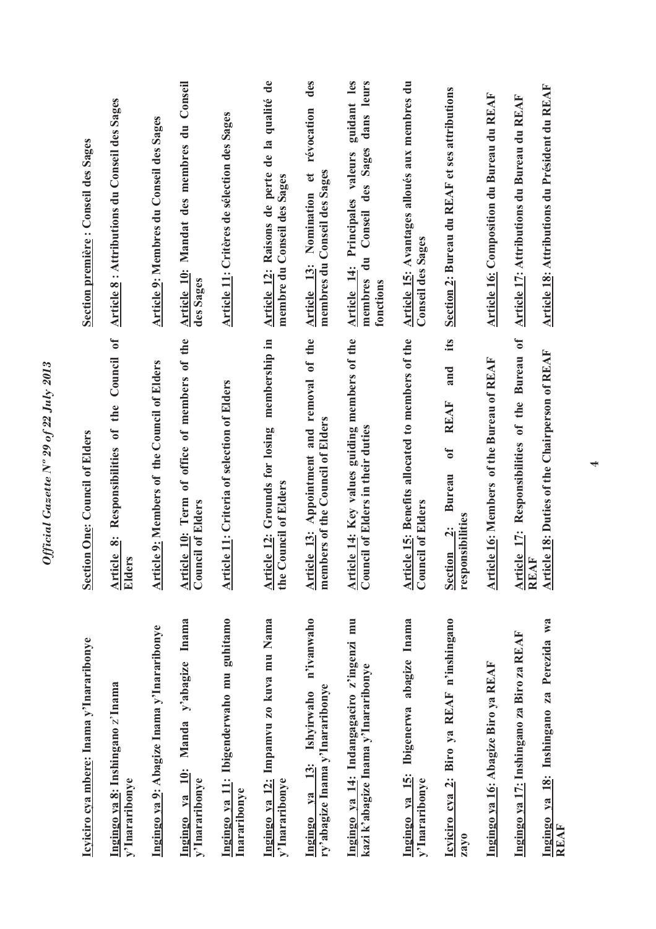| Icyiciro cya mbere: Inama y'Inararibonye                                              | <b>Section One: Council of Elders</b>                                                                                   | Section première : Conseil des Sages                                                                                          |
|---------------------------------------------------------------------------------------|-------------------------------------------------------------------------------------------------------------------------|-------------------------------------------------------------------------------------------------------------------------------|
| Ingingo ya 8: Inshingano z'Inama<br>y'Inararibonye                                    | Responsibilities of the Council of<br>Article 8:<br>lers<br>Eld                                                         | <b>Article 8: Attributions du Conseil des Sages</b>                                                                           |
| Ingingo ya 9: Abagize Inama y'Inararibonye                                            | <b>Article 9: Members of the Council of Elders</b>                                                                      | Article 9: Membres du Conseil des Sages                                                                                       |
| y'abagize Inama<br>Manda<br><b>10:</b><br>y'Inararibonye<br>V2<br>Ingingo             | Article 10: Term of office of members of the<br><b>Council of Elders</b>                                                | Article 10: Mandat des membres du Conseil<br>des Sages                                                                        |
| Ingingo ya 11: Ibigenderwaho mu guhitamo<br>Inararibonye                              | <b>Article 11: Criteria of selection of Elders</b>                                                                      | Article 11: Critères de sélection des Sages                                                                                   |
| Ingingo ya 12: Impamvu zo kuva mu Nama<br>y'Inararibonye                              | membership in<br>Article 12: Grounds for losing<br>the Council of Elders                                                | Raisons de perte de la qualité de<br>membre du Conseil des Sages<br>Article 12:                                               |
| n'ivanwaho<br>ry'abagize Inama y'Inararibonye<br>Ishyirwaho<br>13:<br>$V2$<br>Ingingo | Appointment and removal of the<br>members of the Council of Elders<br>Article 13:                                       | des<br>révocation<br>membres du Conseil des Sages<br>$\mathbf{e}$<br>Nomination<br>Article 13:                                |
| Ingingo ya 14: Indangagaciro z'ingenzi mu<br>kazi k'abagize Inama y'Inararibonye      | Article 14: Key values guiding members of the<br>Council of Elders in their duties                                      | guidant les<br>dans leurs<br>des Sages<br>Article 14: Principales valeurs<br>Conseil<br>$\frac{1}{d}$<br>membres<br>fonctions |
| Ingingo ya 15: Ibigenerwa abagize Inama<br>y'Inararibonye                             | Article 15: Benefits allocated to members of the<br><b>Council of Elders</b>                                            | Article 15: Avantages alloués aux membres du<br><b>Conseil des Sages</b>                                                      |
| Icyiciro cya 2: Biro ya REAF n'inshingano<br>zayo                                     | its<br>and<br><b>REAF</b><br>$\mathbf{d}$<br><b>Bureau</b><br>responsibilities<br>$\ddot{\mathbf{c}}$<br><b>Section</b> | Section 2: Bureau du REAF et ses attributions                                                                                 |
| Ingingo ya 16: Abagize Biro ya REAF                                                   | <b>Article 16: Members of the Bureau of REAF</b>                                                                        | <b>Article 16: Composition du Bureau du REAF</b>                                                                              |
| Ingingo ya 17: Inshingano za Biro za REAF                                             | Bureau of<br>Responsibilities of the<br>Article 17:<br>REAF                                                             | <b>Article 17: Attributions du Bureau du REAF</b>                                                                             |
| Ingingo ya 18: Inshingano za Perezida wa<br>REAF                                      | <b>Article 18: Duties of the Chairperson of REAF</b>                                                                    | Article 18: Attributions du Président du REAF                                                                                 |

Official Gazette Nº 29 of 22 July 2013 *Official Gazette Nº 29 of 22 July 2013*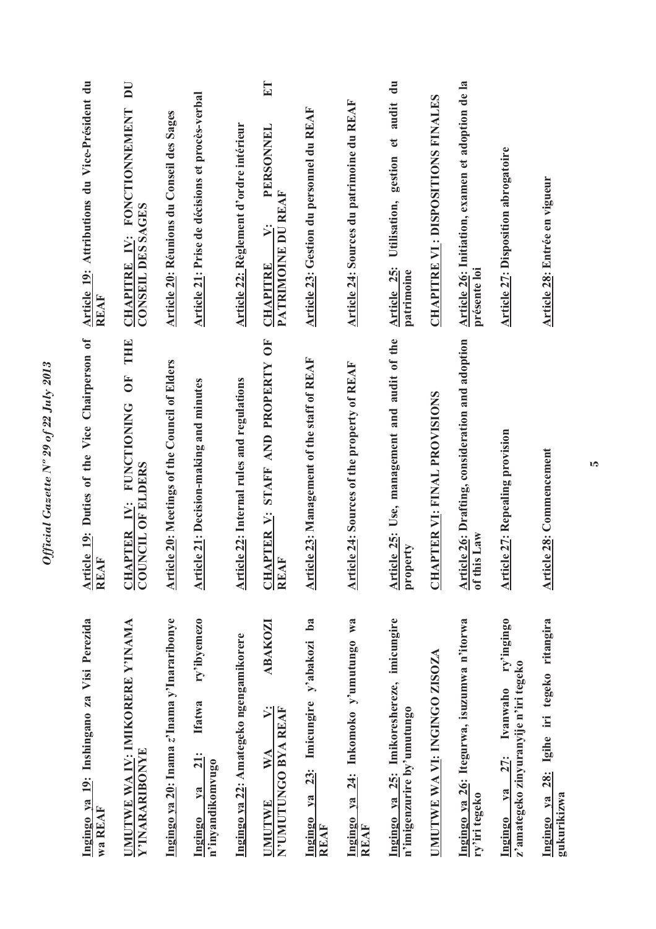| Ingingo ya 19: Inshingano za Visi Perezida<br>wa REAF                                          | Article 19: Duties of the Vice Chairperson of<br><b>REAF</b>                        | Article 19: Attributions du Vice-Président du<br>REAF                                 |
|------------------------------------------------------------------------------------------------|-------------------------------------------------------------------------------------|---------------------------------------------------------------------------------------|
| UMUTWE WA IV: IMIKORERE Y'INAMA<br>Y'INARARIBONYE                                              | THE<br><b>FO</b><br><b>FUNCTIONING</b><br>COUNCIL OF ELDERS<br>i.<br><b>CHAPTER</b> | $\overline{\mathbf{D}}$<br>IV: FONCTIONNEMENT<br>CONSEIL DES SAGES<br><b>CHAPITRE</b> |
| Ingingo ya 20: Inama z'Inama y'Inararibonye                                                    | <b>Article 20:</b> Meetings of the Council of Elders                                | Article 20: Réunions du Conseil des Sages                                             |
| ry'ibyemezo<br><b>Ifatwa</b><br><b>21:</b><br>n'inyandikomvugo<br>$1$<br>Ingingo               | <b>Article 21: Decision-making and minutes</b>                                      | Article 21: Prise de décisions et procès-verbal                                       |
| Ingingo ya 22: Amategeko ngengamikorere                                                        | <b>Article 22: Internal rules and regulations</b>                                   | Article 22: Règlement d'ordre intérieur                                               |
| <b>ABAKOZI</b><br>$\ddot{\triangleright}$<br>N'UMUTUNGO BYA REAF<br>WA<br><b>UMUTWE</b>        | 5<br>STAFF AND PROPERTY<br><b>CHAPTER V:</b><br>REAF                                | ET<br>PERSONNEL<br>PATRIMOINE DU REAF<br>$\ddot{\triangleright}$<br><b>CHAPITRE</b>   |
| ba<br>23: Imicungire y'abakozi<br>y <sub>a</sub><br><b>Ingingo</b><br>REAF                     | Article 23: Management of the staff of REAF                                         | <b>Article 23: Gestion du personnel du REAF</b>                                       |
| Ingingo ya 24: Inkomoko y'umutungo wa<br>REAF                                                  | Article 24: Sources of the property of REAF                                         | Article 24: Sources du patrimoine du REAF                                             |
| Ingingo ya 25: Imikoreshereze, imicungire<br>n'imigenzurire by'umutungo                        | Article 25: Use, management and audit of the<br>property                            | gestion et audit du<br>Utilisation,<br>Article 25:<br>patrimoine                      |
| UMUTWE WA VI: INGINGO ZISOZA                                                                   | APTER VI: FINAL PROVISIONS<br><b>ED</b>                                             | <b>CHAPITRE VI: DISPOSITIONS FINALES</b>                                              |
| Ingingo ya 26: Itegurwa, isuzumwa n'itorwa<br>ry'iri tegeko                                    | Article 26: Drafting, consideration and adoption<br>of this Law                     | Article 26: Initiation, examen et adoption de la<br>présente loi                      |
| ry'ingingo<br>z'amategeko zinyuranyije n'iri tegeko<br>Ivanwaho<br><b>27:</b><br>ya<br>Ingingo | <b>Article 27: Repealing provision</b>                                              | Article 27: Disposition abrogatoire                                                   |
| Ingingo ya 28: Igihe iri tegeko ritangira<br>gukurikizwa                                       | <b>Article 28: Commencement</b>                                                     | Article 28: Entrée en vigueur                                                         |

Official Gazette Nº 29 of 22 July 2013 *Official Gazette Nº 29 of 22 July 2013*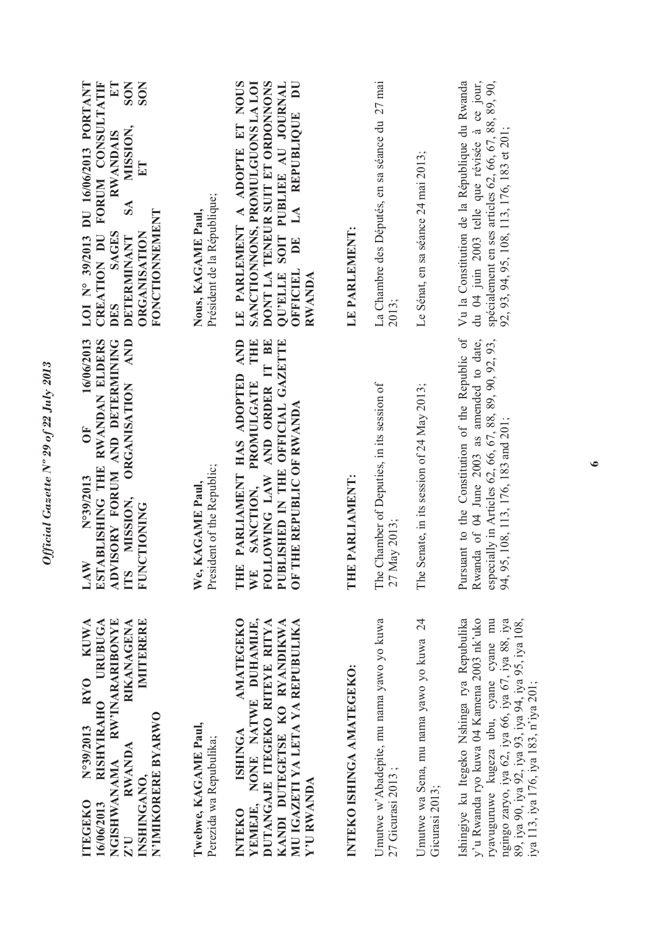| <b>URUBUGA</b><br>RW'INARARIBONYE<br>IMITERERE<br>RYO KUWA<br><b>RIKANAGENA</b><br><b>RISHYIRAHO</b><br>N'IMIKORERE BYARWO<br>Twebwe, KAGAME Paul,<br>N°39/2013<br>RWANDA<br><b>NGISHWANAMA</b><br>INSHINGANO.<br><b>ITEGEKO</b><br>16/06/2013<br>$Z^{\prime}$ U                         | <b>AND</b><br>16/06/2013<br>ESTABLISHING THE RWANDAN ELDERS<br>ADVISORY FORUM AND DETERMINING<br><b>ORGANISATION</b><br>$\overline{O}$<br>N°39/2013<br>We, KAGAME Paul.<br>MISSION,<br><b>FUNCTIONING</b><br>LAW<br><b>TTS</b> | CREATION DU FORUM CONSULTATIF<br><b>SON</b><br><b>SON</b><br>LOI Nº 39/2013 DU 16/06/2013 PORTANT<br>$E\Gamma$<br>MISSION,<br><b>RWANDAIS</b><br>ET<br>$S\Lambda$<br>Nous, KAGAME Paul,<br>FONCTIONNEMENT<br><b>SAGES</b><br>ORGANISATION<br><b>DETERMINANT</b><br>DES |
|------------------------------------------------------------------------------------------------------------------------------------------------------------------------------------------------------------------------------------------------------------------------------------------|--------------------------------------------------------------------------------------------------------------------------------------------------------------------------------------------------------------------------------|------------------------------------------------------------------------------------------------------------------------------------------------------------------------------------------------------------------------------------------------------------------------|
| <b>AMATEGEKO</b><br>YEMEJE, NONE NATWE DUHAMIJE,<br>KANDI DUTEGETSE KO RYANDIKWA<br>MU IGAZETI YA LETA YA REPUBULIKA<br>DUTANGAJE ITEGEKO RITEYE RITYA<br><b>ISHINGA</b><br>Perezida wa Repubulika;<br>Y'U RWANDA<br><b>INTEKO</b>                                                       | THE<br>AND ORDER IT BE<br>AND<br>PUBLISHED IN THE OFFICIAL GAZETTE<br>THE PARLIAMENT HAS ADOPTED<br><b>PROMULGATE</b><br>OF THE REPUBLIC OF RWANDA<br>President of the Republic;<br>FOLLOWING LAW<br>SANCTION,<br>WE           | LE PARLEMENT A ADOPTE ET NOUS<br>SANCTIONNONS, PROMULGUONS LA LOI<br>DONT LA TENEUR SUIT ET ORDONNONS<br>QU'ELLE SOIT PUBLIEE AU JOURNAL<br>DE LA REPUBLIQUE DU<br>Président de la République;<br>OFFICIEL<br>RWANDA                                                   |
| INTEKO ISHINGA AMATEGEKO:                                                                                                                                                                                                                                                                | E PARLIAMENT:<br>E                                                                                                                                                                                                             | LE PARLEMENT:                                                                                                                                                                                                                                                          |
| Umutwe w'Abadepite, mu nama yawo yo kuwa<br>27 Gicurasi 2013;                                                                                                                                                                                                                            | The Chamber of Deputies, in its session of<br>May 2013;<br>27                                                                                                                                                                  | La Chambre des Députés, en sa séance du 27 mai<br>2013;                                                                                                                                                                                                                |
| Umutwe wa Sena, mu nama yawo yo kuwa 24<br>Gicurasi 2013;                                                                                                                                                                                                                                | Senate, in its session of 24 May 2013;<br>The                                                                                                                                                                                  | Le Sénat, en sa séance 24 mai 2013;                                                                                                                                                                                                                                    |
| Ishingiye ku Itegeko Nshinga rya Repubulika<br>y'u Rwanda ryo kuwa 04 Kamena 2003 nk'uko<br>ngingo zaryo, iya 62, iya 66, iya 67, iya 88, iya<br>89, iya 90, iya 92, iya 93, iya 94, iya 95, iya 108,<br>ryavuguruwe kugeza ubu, cyane cyane mu<br>iya 113, iya 176, iya 183, n'iya 201; | Pursuant to the Constitution of the Republic of<br>Rwanda of 04 June 2003 as amended to date,<br>especially in Articles 62, 66, 67, 88, 89, 90, 92, 93,<br>95, 108, 113, 176, 183 and 201;<br>94,                              | Vu la Constitution de la République du Rwanda<br>du 04 juin 2003 telle que révisée à ce jour,<br>spécialement en ses articles 62, 66, 67, 88, 89, 90,<br>92, 93, 94, 95, 108, 113, 176, 183 et 201;                                                                    |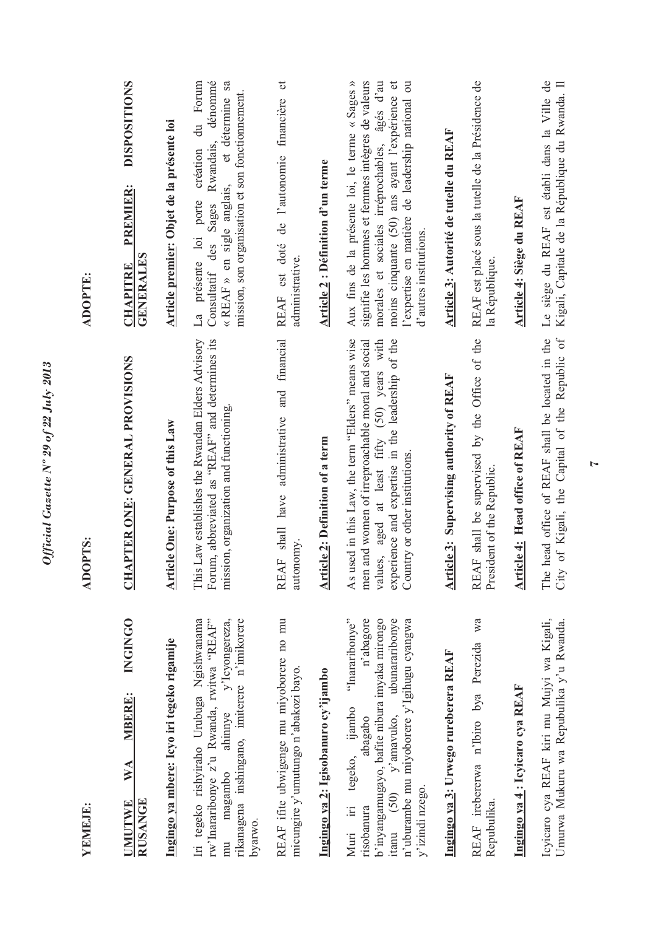| YEMEJE:                                                                                                                                                                                                                                                                                                                                                                                                                                                                                                                                                    | <b>ADOPTS:</b>                                                                                                                                                                                                                              | <b>ADOPTE:</b>                                                                                                                                                                                                                                                                        |
|------------------------------------------------------------------------------------------------------------------------------------------------------------------------------------------------------------------------------------------------------------------------------------------------------------------------------------------------------------------------------------------------------------------------------------------------------------------------------------------------------------------------------------------------------------|---------------------------------------------------------------------------------------------------------------------------------------------------------------------------------------------------------------------------------------------|---------------------------------------------------------------------------------------------------------------------------------------------------------------------------------------------------------------------------------------------------------------------------------------|
| <b>INGINGO</b><br><b>MBERE:</b><br>WA<br><b>RUSANGE</b><br><b>UMUTWE</b>                                                                                                                                                                                                                                                                                                                                                                                                                                                                                   | CHAPTER ONE: GENERAL PROVISIONS                                                                                                                                                                                                             | <b>DISPOSITIONS</b><br>PREMIER:<br><b>GENERALES</b><br><b>CHAPITRE</b>                                                                                                                                                                                                                |
| Ingingo ya mbere: Icyo iri tegeko rigamije                                                                                                                                                                                                                                                                                                                                                                                                                                                                                                                 | <b>Article One: Purpose of this Law</b>                                                                                                                                                                                                     | Article premier: Objet de la présente loi                                                                                                                                                                                                                                             |
| rw'Inararibonye z'u Rwanda, rwitwa "REAF"<br>ahinnye y'Icyongereza,<br>rikanagena inshingano, imiterere n'imikorere<br>Iri tegeko rishyiraho Urubuga Ngishwanama<br>magambo<br>byarwo.<br>mu                                                                                                                                                                                                                                                                                                                                                               | This Law establishes the Rwandan Elders Advisory<br>Forum, abbreviated as "REAF" and determines its<br>mission, organization and functioning.                                                                                               | du Forum<br>dénommé<br>« REAF » en sigle anglais, et détermine sa<br>mission, son organisation et son fonctionnement.<br>Rwandais,<br>création<br>Sages<br>présente loi porte<br>Consultatif des<br>La                                                                                |
| REAF ifite ubwigenge mu miyoborere no mu<br>micungire y'umutungo n'abakozi bayo.                                                                                                                                                                                                                                                                                                                                                                                                                                                                           | and financial<br>REAF shall have administrative<br>autonomy.                                                                                                                                                                                | $\sigma$<br>de l'autonomie financière<br>est doté<br>administrative.<br><b>REAF</b>                                                                                                                                                                                                   |
| Ingingo ya 2: Igisobanuro cy'ijambo                                                                                                                                                                                                                                                                                                                                                                                                                                                                                                                        | Article 2: Definition of a term                                                                                                                                                                                                             | <b>Article 2: Définition d'un terme</b>                                                                                                                                                                                                                                               |
| n'abagore<br>b'inyangamugayo, bafite nibura imyaka mirongo<br>"Inararibonye"<br>ubunararibonye<br>n'uburambe mu miyoborere y'Igihugu cyangwa<br>ijambo<br>$\frac{1}{2}$ (50) $\frac{1}{2}$ $\frac{1}{2}$ $\frac{1}{2}$ $\frac{1}{2}$ $\frac{1}{2}$ $\frac{1}{2}$ $\frac{1}{2}$ $\frac{1}{2}$ $\frac{1}{2}$ $\frac{1}{2}$ $\frac{1}{2}$ $\frac{1}{2}$ $\frac{1}{2}$ $\frac{1}{2}$ $\frac{1}{2}$ $\frac{1}{2}$ $\frac{1}{2}$ $\frac{1}{2}$ $\frac{1}{2}$ $\frac{1}{2}$ $\frac{1}{$<br>abagabo<br>tegeko,<br>y'izindi nzego.<br>$\equiv$<br>risobanura<br>Mun | As used in this Law, the term "Elders" means wise<br>values, aged at least fifty (50) years with<br>experience and expertise in the leadership of the<br>men and women of irreproachable moral and social<br>Country or other institutions. | Aux fins de la présente loi, le terme « Sages »<br>signifie les hommes et femmes intègres de valeurs<br>morales et sociales irréprochables, âgés d'au<br>moins cinquante (50) ans ayant l'expérience et<br>l'expertise en matière de leadership national ou<br>d'autres institutions. |
| Ingingo ya 3: Urwego rureberera REAF                                                                                                                                                                                                                                                                                                                                                                                                                                                                                                                       | <b>Article 3: Supervising authority of REAF</b>                                                                                                                                                                                             | Article 3: Autorité de tutelle du REAF                                                                                                                                                                                                                                                |
| wa<br>REAF irebererwa n'Ibiro bya Perezida<br>Repubulika.                                                                                                                                                                                                                                                                                                                                                                                                                                                                                                  | REAF shall be supervised by the Office of the<br>President of the Republic.                                                                                                                                                                 | REAF est placé sous la tutelle de la Présidence de<br>la République.                                                                                                                                                                                                                  |
| Ingingo ya 4: Icyicaro cya REAF                                                                                                                                                                                                                                                                                                                                                                                                                                                                                                                            | Head office of REAF<br>Article 4:                                                                                                                                                                                                           | Article 4: Siège du REAF                                                                                                                                                                                                                                                              |
| Icyicaro cya REAF kiri mu Mujyi wa Kigali,<br>Umurwa Mukuru wa Repubulika y'u Rwanda.                                                                                                                                                                                                                                                                                                                                                                                                                                                                      | of Kigali, the Capital of the Republic of<br>head office of REAF shall be located in the<br>The 1<br>City                                                                                                                                   | Le siège du REAF est établi dans la Ville de<br>Kigali, Capitale de la République du Rwanda. Il                                                                                                                                                                                       |

*Official Gazette Nº 29 of 22 July 2013* 

Official Gazette Nº 29 of 22 July 2013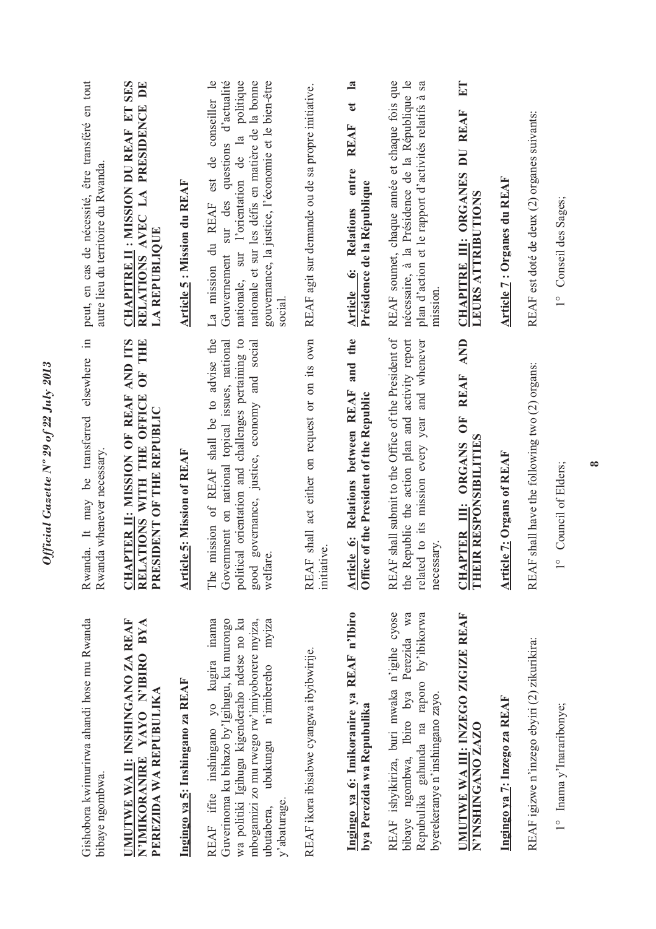| Gishobora kwimurirwa ahandi hose mu Rwanda<br>bibaye ngombwa.                                                                                                                                                                                         | $\Xi$<br>It may be transferred elsewhere<br>Rwanda whenever necessary.<br>Rwanda.                                                                                                                                  | peut, en cas de nécessité, être transféré en tout<br>autre lieu du territoire du Rwanda.                                                                                                                                                                                    |
|-------------------------------------------------------------------------------------------------------------------------------------------------------------------------------------------------------------------------------------------------------|--------------------------------------------------------------------------------------------------------------------------------------------------------------------------------------------------------------------|-----------------------------------------------------------------------------------------------------------------------------------------------------------------------------------------------------------------------------------------------------------------------------|
| UMUTWE WA II: INSHINGANO ZA REAF<br>N'IMIKORANIRE YAYO N'IBIRO BYA<br>PEREZIDA WA REPUBULIKA                                                                                                                                                          | CHAPTER II: MISSION OF REAF AND ITS<br>ATIONS WITH THE OFFICE OF THE<br>PRESIDENT OF THE REPUBLIC<br>REI                                                                                                           | <b>CHAPITRE II: MISSION DU REAF ET SES</b><br>RELATIONS AVEC LA PRESIDENCE DE<br><b>LA REPUBLIQUE</b>                                                                                                                                                                       |
| Ingingo ya 5: Inshingano za REAF                                                                                                                                                                                                                      | <b>Article 5: Mission of REAF</b>                                                                                                                                                                                  | <b>Article 5: Mission du REAF</b>                                                                                                                                                                                                                                           |
| REAF ifite inshingano yo kugira inama<br>wa politiki Igihugu kigenderaho ndetse no ku<br>Guverinoma ku bibazo by'Igihugu, ku murongo<br>mbogamizi zo mu rwego rw'imiyoborere myiza,<br>myiza<br>n'imibereho<br>ubukungu<br>y'abaturage.<br>ubutabera, | mission of REAF shall be to advise the<br>political orientation and challenges pertaining to<br>good governance, justice, economy and social<br>Government on national topical issues, national<br>welfare.<br>The | Gouvernement sur des questions d'actualité<br>nationale, sur l'orientation de la politique<br>nationale et sur les défis en matière de la bonne<br>gouvernance, la justice, l'économie et le bien-être<br>mission du REAF est de conseiller le<br>social.<br>$\mathbb{L}^a$ |
| REAF ikora ibisabwe cyangwa ibyibwirije.                                                                                                                                                                                                              | REAF shall act either on request or on its own<br>initiative.                                                                                                                                                      | REAF agit sur demande ou de sa propre initiative.                                                                                                                                                                                                                           |
| Ingingo ya 6: Imikoranire ya REAF n'Ibiro<br>bya Perezida wa Repubulika                                                                                                                                                                               | and the<br>Article 6: Relations between REAF<br>Office of the President of the Republic                                                                                                                            | $\mathbf{a}$<br>$\mathbf{e}$<br><b>REAF</b><br>entre<br>Présidence de la République<br>Relations<br>Article 6:                                                                                                                                                              |
| REAF ishyikiriza, buri mwaka n'igihe cyose<br>Perezida wa<br>Repubulika gahunda na raporo by'ibikorwa<br>bya<br>byerekeranye n'inshingano zayo.<br>Ibiro<br>bibaye ngombwa,                                                                           | REAF shall submit to the Office of the President of<br>Republic the action plan and activity report<br>related to its mission every year and whenever<br>necessary.<br>the                                         | REAF soumet, chaque année et chaque fois que<br>nécessaire, à la Présidence de la République le<br>plan d'action et le rapport d'activités relatifs à sa<br>mission.                                                                                                        |
| UMUTWE WA III: INZEGO ZIGIZE REAF<br>N'INSHINGANO ZAZO                                                                                                                                                                                                | REAF AND<br>UF<br>EIR RESPONSIBILITIES<br>CHAPTER III: ORGANS<br>E                                                                                                                                                 | $E$ T<br>CHAPITRE III: ORGANES DU REAF<br><b>LEURS ATTRIBUTIONS</b>                                                                                                                                                                                                         |
| Ingingo ya 7: Inzego za REAF                                                                                                                                                                                                                          | <b>Article 7: Organs of REAF</b>                                                                                                                                                                                   | Article 7 : Organes du REAF                                                                                                                                                                                                                                                 |
| REAF igizwe n'inzego ebyiri (2) zikurikira:                                                                                                                                                                                                           | REAF shall have the following two (2) organs:                                                                                                                                                                      | REAF est doté de deux (2) organes suivants:                                                                                                                                                                                                                                 |
| 1° Inama y'Inararibonye;                                                                                                                                                                                                                              | 1° Council of Elders;                                                                                                                                                                                              | 1° Conseil des Sages;                                                                                                                                                                                                                                                       |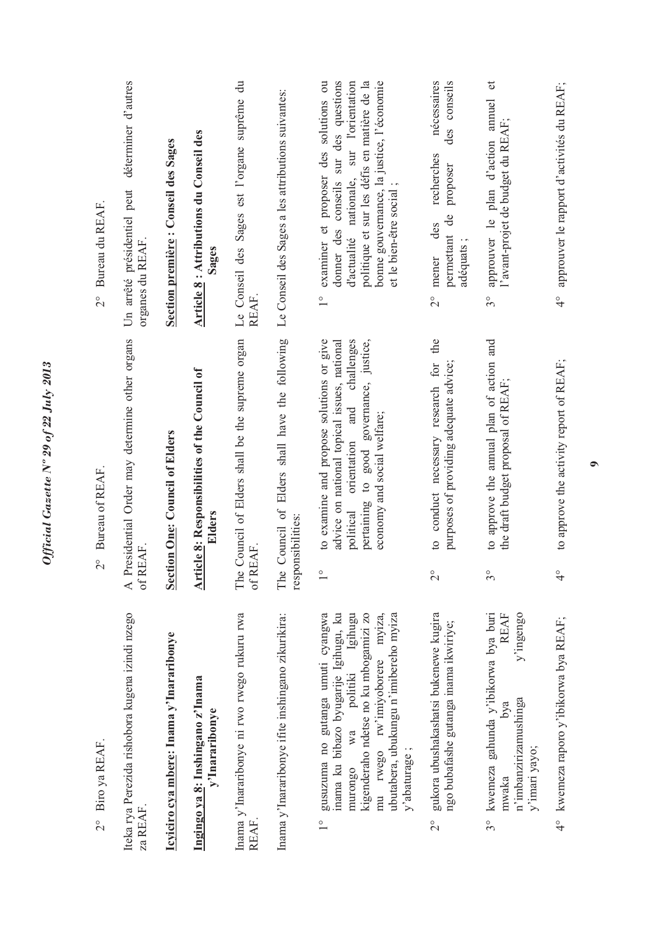| Biro ya REAF.<br>$\frac{1}{2}$                                                                                                                                                                                                                                                    | $\frac{1}{2}$           | Bureau of REAF.                                                                                                                                                                                                 | Bureau du REAF.<br>$\frac{1}{2}$                                                                                                                                                                                                                                   |
|-----------------------------------------------------------------------------------------------------------------------------------------------------------------------------------------------------------------------------------------------------------------------------------|-------------------------|-----------------------------------------------------------------------------------------------------------------------------------------------------------------------------------------------------------------|--------------------------------------------------------------------------------------------------------------------------------------------------------------------------------------------------------------------------------------------------------------------|
| Iteka rya Perezida rishobora kugena izindi nzego<br>za REAF.                                                                                                                                                                                                                      | of REAF.                | A Presidential Order may determine other organs                                                                                                                                                                 | déterminer d'autres<br>Un arrêté présidentiel peut<br>organes du REAF                                                                                                                                                                                              |
| Icyiciro cya mbere: Inama y'Inararibonye                                                                                                                                                                                                                                          |                         | <b>Section One: Council of Elders</b>                                                                                                                                                                           | Section première : Conseil des Sages                                                                                                                                                                                                                               |
| Ingingo ya 8: Inshingano z'Inama<br>y'Inararibonye                                                                                                                                                                                                                                |                         | Article 8: Responsibilities of the Council of<br>Elders                                                                                                                                                         | Article 8 : Attributions du Conseil des<br>Sages                                                                                                                                                                                                                   |
| Inama y'Inararibonye ni rwo rwego rukuru rwa<br>REAF                                                                                                                                                                                                                              | The<br>of R             | Council of Elders shall be the supreme organ<br>EAF.                                                                                                                                                            | Le Conseil des Sages est l'organe suprême du<br>REAF.                                                                                                                                                                                                              |
| Inama y'Inararibonye ifite inshingano zikurikira:                                                                                                                                                                                                                                 | The                     | Council of Elders shall have the following<br>responsibilities:                                                                                                                                                 | Le Conseil des Sages a les attributions suivantes:                                                                                                                                                                                                                 |
| gusuzuma no gutanga umuti cyangwa<br>inama ku bibazo byugarije Igihugu, ku<br>Igihugu<br>kigenderaho ndetse no ku mbogamizi zo<br>ubutabera, ubukungu n'imibereho myiza<br>rw'imiyoborere myiza,<br>politiki<br>Wa<br>mu rwego<br>y'abaturage;<br>murongo<br>$\frac{1}{\sqrt{2}}$ | $\frac{1}{\sqrt{2}}$    | to examine and propose solutions or give<br>challenges<br>advice on national topical issues, national<br>pertaining to good governance, justice,<br>orientation and<br>economy and social welfare;<br>political | donner des conseils sur des questions<br>bonne gouvernance, la justice, l'économie<br>examiner et proposer des solutions ou<br>d'actualité nationale, sur l'orientation<br>politique et sur les défis en matière de la<br>et le bien-être social;<br>$\frac{1}{1}$ |
| gukora ubushakashatsi bukenewe kugira<br>ngo bubafashe gutanga inama ikwiriye;<br>$\frac{1}{2}$                                                                                                                                                                                   | $\overset{\circ}{\sim}$ | the<br>conduct necessary research for<br>purposes of providing adequate advice;<br>$\circ$                                                                                                                      | nécessaires<br>conseils<br>des<br>recherches<br>proposer<br>$\mathbf{d}\mathbf{e}$<br>des<br>permettant<br>adéquats;<br>mener<br>$\frac{1}{2}$                                                                                                                     |
| kwemeza gahunda y'ibikorwa bya buri<br>y'ingengo<br>REAF<br>n'imbanzirizamushinga<br>bya<br>y'imari yayo;<br>mwaka<br>$3^{\circ}$                                                                                                                                                 | $\delta^{\circ}$        | to approve the annual plan of action and<br>the draft budget proposal of REAF;                                                                                                                                  | $\mathfrak{t}$<br>approuver le plan d'action annuel<br>l'avant-projet de budget du REAF;<br>$3^{\circ}$                                                                                                                                                            |
| 4° kwemeza raporo y'ibikorwa bya REAF;                                                                                                                                                                                                                                            | $\frac{1}{4}$           | to approve the activity report of REAF;                                                                                                                                                                         | approuver le rapport d'activités du REAF;<br>$\frac{1}{4}$                                                                                                                                                                                                         |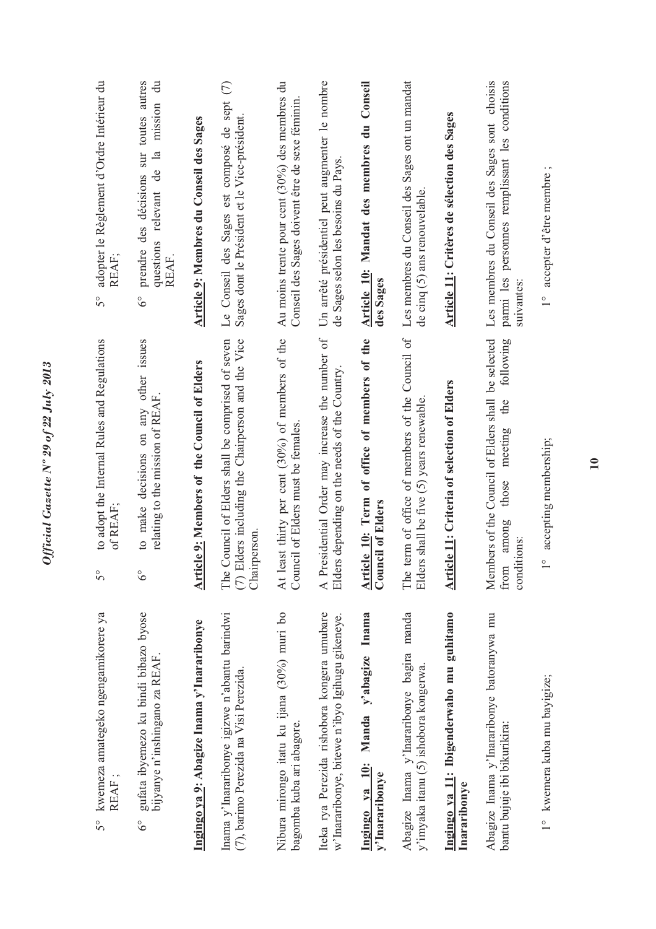| kwemeza amategeko ngengamikorere ya<br>REAF;<br>50                                              | to adopt the Internal Rules and Regulations<br>of REAF;<br>$5^{\circ}$                                                     | adopter le Règlement d'Ordre Intérieur du<br>REAF;<br>$5^{\circ}$                                                                      |
|-------------------------------------------------------------------------------------------------|----------------------------------------------------------------------------------------------------------------------------|----------------------------------------------------------------------------------------------------------------------------------------|
| gufata ibyemezo ku bindi bibazo byose<br>bijyanye n'inshingano za REAF.<br>$6^{\circ}$          | on any other issues<br>relating to the mission of REAF.<br>decisions<br>to make<br>$\delta^{\circ}$                        | prendre des décisions sur toutes autres<br>$\ddot{=}$<br>mission<br>$\mathbf{a}$<br>questions relevant de<br>REAF.<br>$\delta^{\circ}$ |
| Ingingo ya 9: Abagize Inama y'Inararibonye                                                      | Article 9: Members of the Council of Elders                                                                                | Article 9: Membres du Conseil des Sages                                                                                                |
| Inama y'Inararibonye igizwe n'abantu barindwi<br>(7), barimo Perezida na Visi Perezida.         | Council of Elders shall be comprised of seven<br>(7) Elders including the Chairperson and the Vice<br>Chairperson.<br>The  | $\mathfrak{S}$<br>Le Conseil des Sages est composé de sept<br>Sages dont le Président et le Vice-président.                            |
| Nibura mirongo itatu ku ijana (30%) muri bo<br>bagomba kuba ari abagore.                        | At least thirty per cent (30%) of members of the<br>Council of Elders must be females                                      | Au moins trente pour cent (30%) des membres du<br>Conseil des Sages doivent être de sexe féminin                                       |
| Iteka rya Perezida rishobora kongera umubare<br>w'Inararibonye, bitewe n'ibyo Igihugu gikeneye. | A Presidential Order may increase the number of<br>rs depending on the needs of the Country.<br>Elder                      | Un arrêté présidentiel peut augmenter le nombre<br>de Sages selon les besoins du Pays.                                                 |
| Ingingo ya 10: Manda y'abagize Inama<br>y'Inararibonye                                          | Article 10: Term of office of members of the<br><b>Council of Elders</b>                                                   | Article 10: Mandat des membres du Conseil<br>des Sages                                                                                 |
| Abagize Inama y'Inararibonye bagira manda<br>y'imyaka itanu (5) ishobora kongerwa.              | term of office of members of the Council of<br>rs shall be five (5) years renewable.<br>Elder<br>The                       | Les membres du Conseil des Sages ont un mandat<br>de cinq (5) ans renouvelable.                                                        |
| Ingingo ya 11: Ibigenderwaho mu guhitamo<br>Inararibonye                                        | <b>Article 11: Criteria of selection of Elders</b>                                                                         | Article 11: Critères de sélection des Sages                                                                                            |
| Abagize Inama y'Inararibonye batoranywa mu<br>bantu bujuje ibi bikurikira:                      | Members of the Council of Elders shall be selected<br>following<br>the<br>meeting<br>those<br>among<br>conditions:<br>from | Les membres du Conseil des Sages sont choisis<br>parmi les personnes remplissant les conditions<br>suivantes:                          |
| 1° kwemera kuba mu bayigize;                                                                    | accepting membership;<br>$\circ$                                                                                           | 1° accepter d'être membre;                                                                                                             |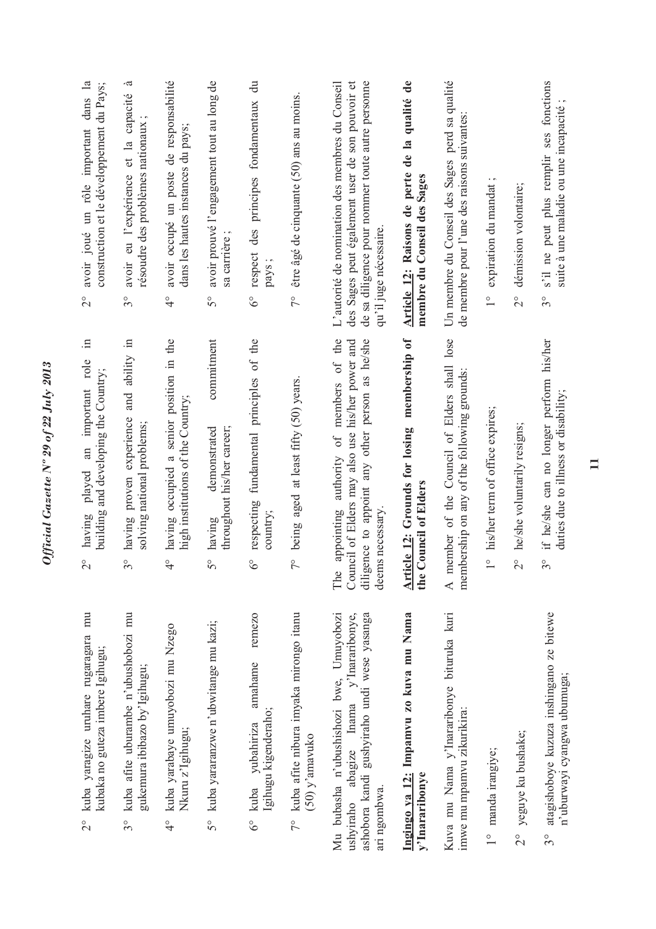| 2° kuba yaragize uruhare rugaragara mu<br>kubaka no guteza imbere Igihugu;                                                                        | $\equiv$<br>having played an important role<br>building and developing the Country;<br>$\overset{\circ}{\sim}$                                                           | avoir joué un rôle important dans la<br>construction et le développement du Pays;<br>$\frac{1}{2}$                                                                               |
|---------------------------------------------------------------------------------------------------------------------------------------------------|--------------------------------------------------------------------------------------------------------------------------------------------------------------------------|----------------------------------------------------------------------------------------------------------------------------------------------------------------------------------|
| kuba afite uburambe n'ubushobozi mu<br>gukemura ibibazo by'Igihugu;<br>$3^{\circ}$                                                                | having proven experience and ability in<br>solving national problems;<br>$\frac{1}{3}$                                                                                   | -ದ<br>avoir eu l'expérience et la capacité<br>résoudre des problèmes nationaux<br>$3^{\circ}$                                                                                    |
| 4° kuba yarabaye umuyobozi mu Nzego<br>Nkuru z'Igihugu;                                                                                           | having occupied a senior position in the<br>high institutions of the Country;<br>$\frac{1}{\sqrt{2}}$                                                                    | avoir occupé un poste de responsabilité<br>dans les hautes instances du pays;<br>$\frac{1}{4}$                                                                                   |
| 5° kuba yararanzwe n'ubwitange mu kazi;                                                                                                           | commitment<br>throughout his/her career;<br>demonstrated<br>having<br>$\mathcal{S}^{\circ}$                                                                              | avoir prouvé l'engagement tout au long de<br>sa carrière;<br>$\mathcal{S}^{\circ}$                                                                                               |
| remezo<br>amahame<br>Igihugu kigenderaho;<br>yubahiriza<br>6° kuba                                                                                | fundamental principles of the<br>respecting<br>country;<br>$\delta^{\circ}$                                                                                              | $\ddot{a}$<br>respect des principes fondamentaux<br>pays;<br>$\delta^{\circ}$                                                                                                    |
| 7° kuba afite nibura imyaka mirongo itanu<br>$(50)$ y'amavuko                                                                                     | being aged at least fifty (50) years.<br>$\zeta$                                                                                                                         | être âgé de cinquante (50) ans au moins.<br>$\frac{1}{2}$                                                                                                                        |
| Mu bubasha n'ubushishozi bwe, Umuyobozi<br>ashobora kandi gushyiraho undi wese yasanga<br>ushyiraho abagize Inama y'Inararibonye,<br>ari ngombwa. | The appointing authority of members of the<br>Council of Elders may also use his/her power and<br>diligence to appoint any other person as he/she<br>necessary.<br>deems | des Sages peut également user de son pouvoir et<br>de sa diligence pour nommer toute autre personne<br>L'autorité de nomination des membres du Conseil<br>qu'il juge nécessaire. |
| Ingingo ya 12: Impamvu zo kuva mu Nama<br>y'Inararibonye                                                                                          | <b>Article 12:</b> Grounds for losing membership of<br>the Council of Elders                                                                                             | Article 12: Raisons de perte de la qualité de<br>membre du Conseil des Sages                                                                                                     |
| Kuva mu Nama y'Inararibonye bituruka kuri<br>imwe mu mpamvu zikurikira:                                                                           | A member of the Council of Elders shall lose<br>membership on any of the following grounds:                                                                              | Un membre du Conseil des Sages perd sa qualité<br>de membre pour l'une des raisons suivantes                                                                                     |
| 1° manda irangiye;                                                                                                                                | his/her term of office expires;<br>$\frac{0}{1}$                                                                                                                         | 1° expiration du mandat;                                                                                                                                                         |
| yeguye ku bushake;<br>$\frac{1}{2}$                                                                                                               | he/she voluntarily resigns;<br>$\overset{\circ}{\sim}$                                                                                                                   | démission volontaire;<br>$\frac{1}{2}$                                                                                                                                           |
| atagishoboye kuzuza inshingano ze bitewe<br>n'uburwayi cyangwa ubumuga;<br>$3^{\circ}$                                                            | if he/she can no longer perform his/her<br>duties due to illness or disability;<br>$\frac{1}{3}$                                                                         | s'il ne peut plus remplir ses fonctions<br>suite à une maladie ou une incapacité<br>$3^{\circ}$                                                                                  |

Official Gazette Nº 29 of 22 July 2013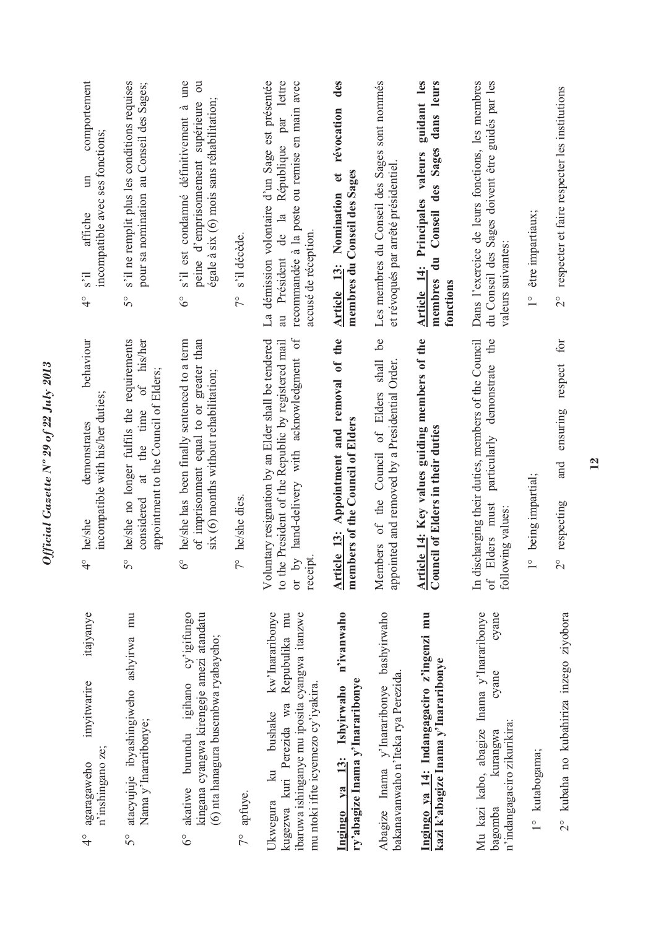| itajyanye<br>imyitwarire<br>n'inshingano ze;<br>agaragaweho<br>$\frac{6}{4}$                                                                                                                  | behaviour<br>incompatible with his/her duties;<br>demonstrates<br>he/she<br>$\frac{1}{4}$                                                                                 | comportement<br>incompatible avec ses fonctions;<br>$\mathbb{H}$<br>affiche<br>$\overline{s}$ <sup>3</sup><br>$\frac{1}{4}$                                          |
|-----------------------------------------------------------------------------------------------------------------------------------------------------------------------------------------------|---------------------------------------------------------------------------------------------------------------------------------------------------------------------------|----------------------------------------------------------------------------------------------------------------------------------------------------------------------|
| atacyujuje ibyashingiweho ashyirwa mu<br>Nama y'Inararibonye;<br>$5^{\circ}$                                                                                                                  | he/she no longer fulfils the requirements<br>of his/her<br>appointment to the Council of Elders;<br>at the time<br>considered<br>$5^{\circ}$                              | s'il ne remplit plus les conditions requises<br>pour sa nomination au Conseil des Sages;<br>$\tilde{5}^{\circ}$                                                      |
| akatiwe burundu igihano cy'igifungo<br>kingana cyangwa kirengeje amezi atandatu<br>(6) nta hanagura busembwa ryabayeho;<br>$6^\circ$                                                          | he/she has been finally sentenced to a term<br>of imprisonment equal to or greater than<br>six (6) months without rehabilitation;<br>$6^\circ$                            | s'il est condamné définitivement à une<br>$\overline{\mathrm{c}}$<br>égale à six (6) mois sans réhabilitation;<br>supérieure<br>peine d'emprisonnement<br>$6^\circ$  |
| $7^\circ$ apfuye.                                                                                                                                                                             | he/she dies.<br>$\frac{1}{2}$                                                                                                                                             | s'il décède.<br>$\sqrt{2}$                                                                                                                                           |
| kw'Inararibonye<br>Repubulika mu<br>ibaruwa ishinganye mu iposita cyangwa itanzwe<br>mu ntoki ifite icyemezo cy'iyakira.<br>kugezwa kuri Perezida wa<br>bushake<br>$\overline{a}$<br>Ukwegura | hand-delivery with acknowledgment of<br>Voluntary resignation by an Elder shall be tendered<br>President of the Republic by registered mail<br>or by<br>receipt<br>to the | La démission volontaire d'un Sage est présentée<br>au Président de la République par lettre<br>recommandée à la poste ou remise en main avec<br>accusé de réception. |
| n'ivanwaho<br>ry'abagize Inama y'Inararibonye<br>Ingingo ya 13: Ishyirwaho                                                                                                                    | Article 13: Appointment and removal of the<br>members of the Council of Elders                                                                                            | des<br>révocation<br>membres du Conseil des Sages<br>$\mathbf{e}$<br>Nomination<br>Article 13:                                                                       |
| Abagize Inama y'Inararibonye bashyirwaho<br>bakanavanwaho n'Iteka rya Perezida.                                                                                                               | Ъe<br>shall<br>appointed and removed by a Presidential Order.<br>Members of the Council of Elders                                                                         | Les membres du Conseil des Sages sont nommés<br>et révoqués par arrêté présidentiel.                                                                                 |
| Ingingo ya 14: Indangagaciro z'ingenzi mu<br>kazi k'abagize Inama y'Inararibonye                                                                                                              | Article 14: Key values guiding members of the<br>Council of Elders in their duties                                                                                        | guidant les<br>dans leurs<br>des Sages<br>Article 14: Principales valeurs<br>du Conseil<br>membres<br>fonctions                                                      |
| Mu kazi kabo, abagize Inama y'Inararibonye<br>cyane<br>cyane<br>n'indangagaciro zikurikira:<br>kurangwa<br>bagomba                                                                            | In discharging their duties, members of the Council<br>the<br>demonstrate<br>particularly<br>of Elders must<br>following values:                                          | Dans l'exercice de leurs fonctions, les membres<br>du Conseil des Sages doivent être guidés par les<br>valeurs suivantes:                                            |
| 1° kutabogama;                                                                                                                                                                                | being impartial;<br>$\frac{1}{1}$                                                                                                                                         | être impartiaux;<br>$\frac{1}{1}$                                                                                                                                    |
| 2° kubaha no kubahiriza inzego ziyobora                                                                                                                                                       | for<br>respect<br>ensuring<br>and<br>respecting<br>$\overline{C}$                                                                                                         | 2° respecter et faire respecter les institutions                                                                                                                     |

*Official Gazette Nº 29 of 22 July 2013*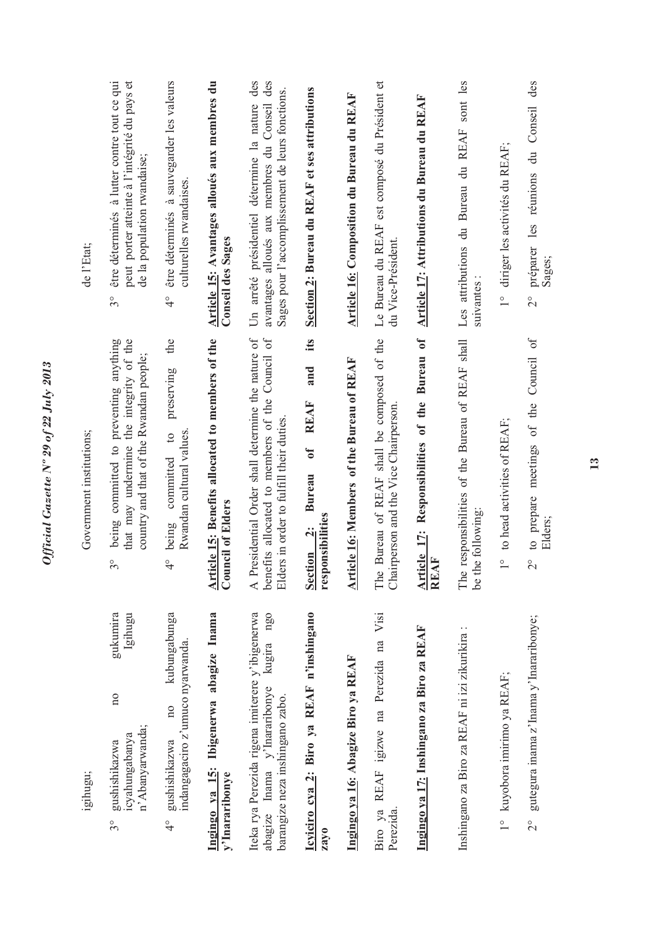| de l'Etat;               | être déterminés à lutter contre tout ce qui<br>peut porter atteinte à l'intégrité du pays et<br>de la population rwandaise;<br>$3^{\circ}$    | être déterminés à sauvegarder les valeurs<br>culturelles rwandaises.<br>$\frac{1}{4}$                 | Article 15: Avantages alloués aux membres du<br><b>Conseil des Sages</b>     | des<br>avantages alloués aux membres du Conseil des<br>Sages pour l'accomplissement de leurs fonctions.<br>Un arrêté présidentiel détermine la nature | Section 2: Bureau du REAF et ses attributions                                      | Article 16: Composition du Bureau du REAF        | Le Bureau du REAF est composé du Président et<br>du Vice-Président.                  | Article 17: Attributions du Bureau du REAF                   | Les attributions du Bureau du REAF sont les<br>suivantes                 | 1° diriger les activités du REAF;            | des<br>préparer les réunions du Conseil<br>Sages;<br>$\frac{1}{2}$          |
|--------------------------|-----------------------------------------------------------------------------------------------------------------------------------------------|-------------------------------------------------------------------------------------------------------|------------------------------------------------------------------------------|-------------------------------------------------------------------------------------------------------------------------------------------------------|------------------------------------------------------------------------------------|--------------------------------------------------|--------------------------------------------------------------------------------------|--------------------------------------------------------------|--------------------------------------------------------------------------|----------------------------------------------|-----------------------------------------------------------------------------|
| Government institutions; | being committed to preventing anything<br>that may undermine the integrity of the<br>country and that of the Rwandan people;<br>$\frac{1}{2}$ | the<br>preserving<br>Rwandan cultural values<br>$\circ$<br>committed<br>being<br>$\frac{1}{\sqrt{2}}$ | Article 15: Benefits allocated to members of the<br><b>Council of Elders</b> | A Presidential Order shall determine the nature of<br>benefits allocated to members of the Council of<br>Elders in order to fulfill their duties      | its<br>and<br><b>REAF</b><br>0f<br><b>Bureau</b><br>responsibilities<br>Section 2: | <b>Article 16: Members of the Bureau of REAF</b> | The Bureau of REAF shall be composed of the<br>Chairperson and the Vice Chairperson. | Article 17: Responsibilities of the Bureau of<br><b>REAF</b> | The responsibilities of the Bureau of REAF shall<br>following:<br>be the | to head activities of REAF;<br>$\frac{0}{1}$ | to prepare meetings of the Council of<br>Elders;<br>$\overset{\circ}{\sim}$ |
| igihugu;                 | gukumira<br>Igihugu<br>$\overline{n}$<br>n' Abanyarwanda;<br>icyahungabanya<br>gushishikazwa<br>$3^{\circ}$                                   | kubungabunga<br>indangagaciro z'umuco nyarwanda.<br>$\overline{n}$<br>gushishikazwa<br>$\frac{1}{4}$  | Ingingo ya 15: Ibigenerwa abagize Inama<br>y'Inararibonye                    | Iteka rya Perezida rigena imiterere y'ibigenerwa<br>$ng_0$<br>kugira<br>abagize Inama y'Inararibonye<br>barangize neza inshingano zabo.               | Icyiciro cya 2: Biro ya REAF n'inshingano<br>zayo                                  | Ingingo ya 16: Abagize Biro ya REAF              | Visi<br>Biro ya REAF igizwe na Perezida na<br>Perezida.                              | Ingingo ya 17: Inshingano za Biro za REAF                    | Inshingano za Biro za REAF ni izi zikurikira:                            | 1° kuyobora imirimo ya REAF;                 | gutegura inama z'Inama y'Inararibonye;<br>$\frac{1}{2}$                     |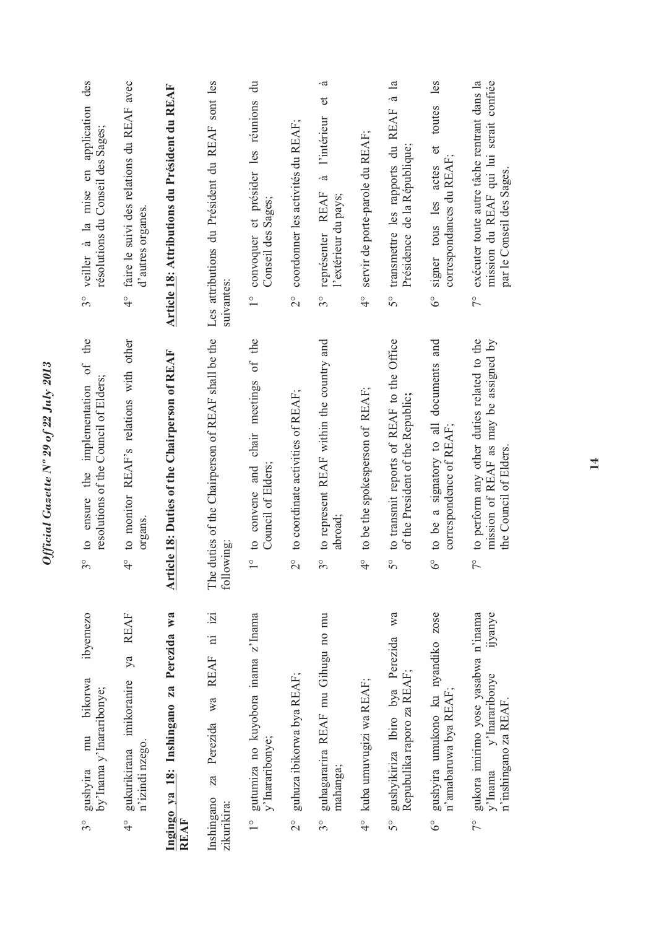| des<br>veiller à la mise en application<br>résolutions du Conseil des Sages;<br>$3^{\circ}$                  | faire le suivi des relations du REAF avec<br>d'autres organes<br>$\frac{1}{4}$       | Article 18: Attributions du Président du REAF           | Les attributions du Président du REAF sont les<br>suivantes:        | convoquer et présider les réunions du<br>Conseil des Sages;<br>$\frac{1}{1}$ | coordonner les activités du REAF;<br>$\overset{\circ}{\sim}$ | .ದ<br>l'intérieur et<br>à<br>représenter REAF<br>l'extérieur du pays;<br>$3^{\circ}$ | servir de porte-parole du REAF;<br>$\frac{1}{4}$ | à la<br>transmettre les rapports du REAF<br>Présidence de la République;<br>$5^{\circ}$                 | toutes les<br>$\sigma$<br>correspondances du REAF<br>signer tous les actes<br>$6^\circ$ | mission du REAF qui lui serait confiée<br>exécuter toute autre tâche rentrant dans la<br>par le Conseil des Sages.<br>$\tilde{7}^{\circ}$ |
|--------------------------------------------------------------------------------------------------------------|--------------------------------------------------------------------------------------|---------------------------------------------------------|---------------------------------------------------------------------|------------------------------------------------------------------------------|--------------------------------------------------------------|--------------------------------------------------------------------------------------|--------------------------------------------------|---------------------------------------------------------------------------------------------------------|-----------------------------------------------------------------------------------------|-------------------------------------------------------------------------------------------------------------------------------------------|
| the<br>implementation of<br>resolutions of the Council of Elders;<br>the<br>ensure<br>$\circ$<br>$3^{\circ}$ | to monitor REAF's relations with other<br>organs<br>$\frac{1}{4}$                    | <b>Article 18: Duties of the Chairperson of REAF</b>    | duties of the Chairperson of REAF shall be the<br>following:<br>The | to convene and chair meetings of the<br>Council of Elders;<br>$\frac{1}{1}$  | to coordinate activities of REAF;<br>$\overline{C}$          | to represent REAF within the country and<br>abroad;<br>$\mathcal{S}^{\circ}$         | to be the spokesperson of REAF;<br>$\frac{1}{4}$ | to transmit reports of REAF to the Office<br>of the President of the Republic;<br>$\mathcal{S}^{\circ}$ | to be a signatory to all documents and<br>correspondence of REAF;<br>$6^{\circ}$        | to perform any other duties related to the<br>mission of REAF as may be assigned by<br>the Council of Elders.<br>$\frac{1}{\sqrt{2}}$     |
| ibyemezo<br>bikorwa<br>by'Inama y'Inararibonye;<br>mu<br>gushyira<br>$3^\circ$                               | <b>REAF</b><br>ya<br>imikoranire<br>n'izindi nzego.<br>gukurikirana<br>$\frac{6}{4}$ | Ingingo ya 18: Inshingano za Perezida wa<br><b>REAF</b> | REAF ni izi<br>Perezida wa<br>Za<br>Inshingano<br>zikurikira:       | 1° gutumiza no kuyobora inama z'Inama<br>y'Inararibonye;                     | guhuza ibikorwa bya REAF;<br>$\frac{1}{2}$                   | guhagararira REAF mu Gihugu no mu<br>mahanga;<br>$3^{\circ}$                         | 4° kuba umuvugizi wa REAF;                       | wa<br>gushyikiriza Ibiro bya Perezida<br>Repubulika raporo za REAF;<br>$5^{\circ}$                      | gushyira umukono ku nyandiko zose<br>n'amabaruwa bya REAF;<br>$6^\circ$                 | gukora imirimo yose yasabwa n'inama<br>ijyanye<br>y'Inararibonye<br>n'inshingano za REAF<br>$V$ lnama<br>$7^{\circ}$                      |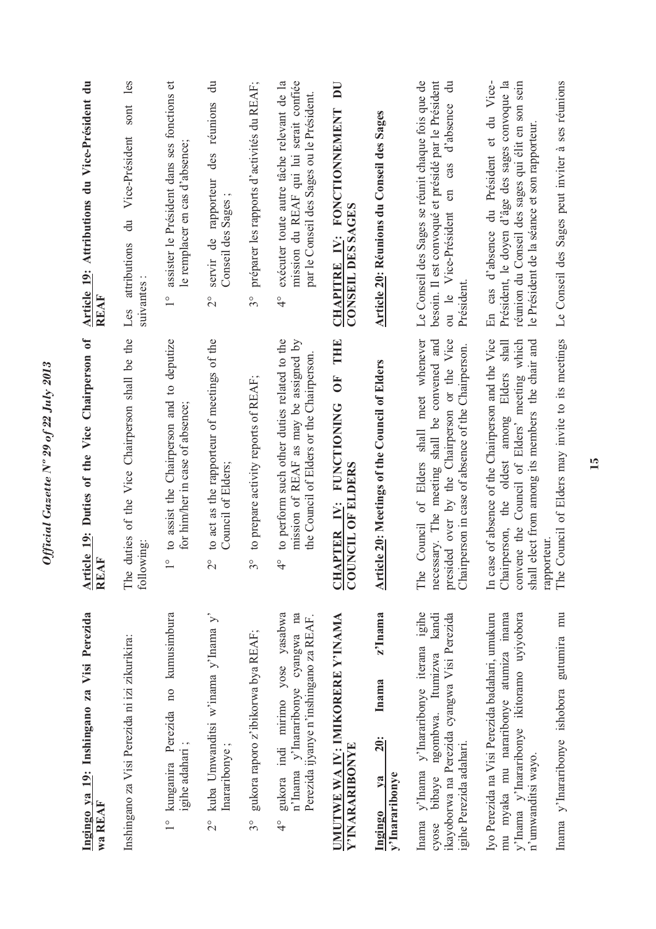| Ingingo ya 19: Inshingano za Visi Perezida<br>wa REAF                                                                                                                                                     | Article 19: Duties of the Vice Chairperson of<br>REAF                                                                                                                                                                                                                      | Article 19: Attributions du Vice-Président du<br>REAF                                                                                                                                                                                                 |
|-----------------------------------------------------------------------------------------------------------------------------------------------------------------------------------------------------------|----------------------------------------------------------------------------------------------------------------------------------------------------------------------------------------------------------------------------------------------------------------------------|-------------------------------------------------------------------------------------------------------------------------------------------------------------------------------------------------------------------------------------------------------|
| Inshingano za Visi Perezida ni izi zikurikira:                                                                                                                                                            | The duties of the Vice Chairperson shall be the<br>following:                                                                                                                                                                                                              | les<br>sont<br>Vice-Président<br>$\ddot{a}$<br>Les attributions<br>suivantes                                                                                                                                                                          |
| 1º kunganira Perezida no kumusimbura<br>igihe adahari;                                                                                                                                                    | to assist the Chairperson and to deputize<br>for him/her in case of absence;<br>$\frac{0}{1}$                                                                                                                                                                              | assister le Président dans ses fonctions et<br>le remplacer en cas d'absence;<br>$\frac{1}{1}$                                                                                                                                                        |
| kuba Umwanditsi w'inama y'Inama y'<br>Inararibonye;<br>$\frac{1}{2}$                                                                                                                                      | to act as the rapporteur of meetings of the<br>Council of Elders;<br>$\overset{\circ}{\sim}$                                                                                                                                                                               | $\ddot{\vec{a}}$<br>des réunions<br>servir de rapporteur<br>Conseil des Sages;<br>$\overset{\circ}{\sim}$                                                                                                                                             |
| gukora raporo z'ibikorwa bya REAF;<br>$3^{\circ}$                                                                                                                                                         | to prepare activity reports of REAF;<br>$\frac{1}{2}$                                                                                                                                                                                                                      | préparer les rapports d'activités du REAF;<br>$3^{\circ}$                                                                                                                                                                                             |
| gukora indi mirimo yose yasabwa<br>na<br>Perezida ijyanye n'inshingano za REAF.<br>n'Inama y'Inararibonye cyangwa<br>$\frac{1}{4}$                                                                        | to perform such other duties related to the<br>mission of REAF as may be assigned by<br>the Council of Elders or the Chairperson.<br>$\frac{1}{\sqrt{2}}$                                                                                                                  | exécuter toute autre tâche relevant de la<br>mission du REAF qui lui serait confiée<br>par le Conseil des Sages ou le Président.<br>$\frac{1}{4}$                                                                                                     |
| UMUTWE WA IV: IMIKORERE Y'INAMA<br>Y'INARARIBONYE                                                                                                                                                         | THE<br><b>FO</b><br>PTER IV: FUNCTIONING<br>COUNCIL OF ELDERS<br><b>CHAI</b>                                                                                                                                                                                               | $\overline{\mathbf{D}}$<br>CHAPITRE IV: FONCTIONNEMENT<br>CONSEIL DES SAGES                                                                                                                                                                           |
| z'Inama<br>Inama<br>20:<br>y'Inararibonye<br>$1$<br>Ingingo                                                                                                                                               | <b>Article 20: Meetings of the Council of Elders</b>                                                                                                                                                                                                                       | Article 20: Réunions du Conseil des Sages                                                                                                                                                                                                             |
| Inama y'Inama y'Inararibonye iterana igihe<br>kandi<br>ikayoborwa na Perezida cyangwa Visi Perezida<br>bibaye ngombwa. Itumizwa<br>igihe Perezida adahari.<br>cyose                                       | Council of Elders shall meet whenever<br>necessary. The meeting shall be convened and<br>presided over by the Chairperson or the Vice<br>Chairperson in case of absence of the Chairperson.<br>The                                                                         | Le Conseil des Sages se réunit chaque fois que de<br>besoin. Il est convoqué et présidé par le Président<br>$\ddot{=}$<br>d'absence<br>cas<br>$\epsilon$<br>ou le Vice-Président<br>Président                                                         |
| Iyo Perezida na Visi Perezida badahari, umukuru<br>mu myaka mu nararibonye atumiza inama<br>y'lnama y'lnararibonye ikitoramo uyiyobora<br>Inama y'Inararibonye ishobora gutumira mu<br>n'umwanditsi wayo. | The Council of Elders may invite to its meetings<br>In case of absence of the Chairperson and the Vice<br>the oldest among Elders shall<br>convene the Council of Elders' meeting which<br>shall elect from among its members the chair and<br>Chairperson,<br>rapporteur. | En cas d'absence du Président et du Vice-<br>Le Conseil des Sages peut inviter à ses réunions<br>Président, le doyen d'âge des sages convoque la<br>réunion du Conseil des sages qui élit en son sein<br>le Président de la séance et son rapporteur. |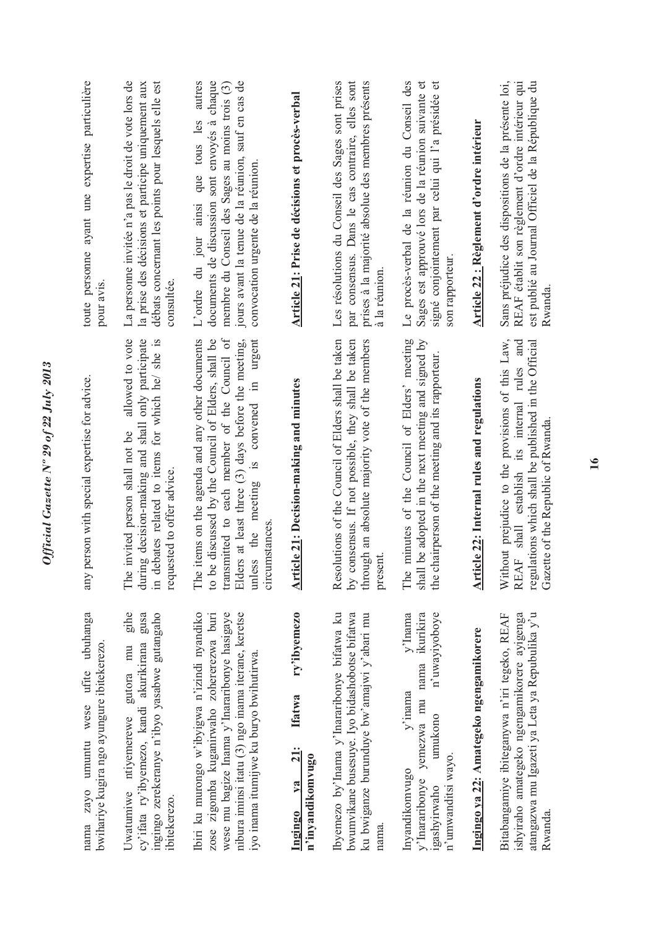| umuntu wese ufite ubuhanga<br>bwihariye kugira ngo ayungure ibitekerezo<br>zayo<br>nama                                                                                                                                                    | any person with special expertise for advice.                                                                                                                                                                                                                                                       | toute personne ayant une expertise particulière<br>pour avis                                                                                                                                                                                   |
|--------------------------------------------------------------------------------------------------------------------------------------------------------------------------------------------------------------------------------------------|-----------------------------------------------------------------------------------------------------------------------------------------------------------------------------------------------------------------------------------------------------------------------------------------------------|------------------------------------------------------------------------------------------------------------------------------------------------------------------------------------------------------------------------------------------------|
| gihe<br>gusa<br>ingingo zerekeranye n'ibyo yasabwe gutangaho<br>cy'ifata ry'ibyemezo, kandi akurikirana<br>Uwatumiwe ntiyemerewe gutora mu<br>ibitekerezo.                                                                                 | allowed to vote<br>decision-making and shall only participate<br>in debates related to items for which he/ she is<br>ivited person shall not be<br>requested to offer advice.<br>The in<br>during                                                                                                   | La personne invitée n'a pas le droit de vote lors de<br>débats concernant les points pour lesquels elle est<br>la prise des décisions et participe uniquement aux<br>consultée.                                                                |
| Ibiri ku murongo w'ibyigwa n'izindi nyandiko<br>wese mu bagize Inama y'Inararibonye hasigaye<br>nibura iminsi itatu (3) ngo inama iterane, keretse<br>zose zigomba kuganirwaho zohererezwa buri<br>iyo inama itumijwe ku buryo bwihutirwa. | transmitted to each member of the Council of<br>The items on the agenda and any other documents<br>discussed by the Council of Elders, shall be<br>at least three (3) days before the meeting,<br>urgent<br>the meeting is convened in<br>stances<br>Elders<br>unless<br>circum<br>$\frac{1}{2}$ be | autres<br>documents de discussion sont envoyés à chaque<br>jours avant la tenue de la réunion, sauf en cas de<br>membre du Conseil des Sages au moins trois (3)<br>que tous les<br>convocation urgente de la réunion.<br>L'ordre du jour ainsi |
| ry'ibyemezo<br><b>Ifatwa</b><br><b>21:</b><br>n'inyandikomvugo<br>$1$<br>Ingingo                                                                                                                                                           | <b>Article 21: Decision-making and minutes</b>                                                                                                                                                                                                                                                      | Article 21: Prise de décisions et procès-verbal                                                                                                                                                                                                |
| Ibyemezo by'Inama y'Inararibonye bifatwa ku<br>bwumvikane busesuye. Iyo bidashobotse bifatwa<br>ku bwiganze burunduye bw'amajwi y'abari mu<br>nama.                                                                                        | Resolutions of the Council of Elders shall be taken<br>by consensus. If not possible, they shall be taken<br>through an absolute majority vote of the members<br>presen                                                                                                                             | Les résolutions du Conseil des Sages sont prises<br>par consensus. Dans le cas contraire, elles sont<br>prises à la majorité absolue des membres présents<br>à la réunion.                                                                     |
| $v'$ Inama<br>yemezwa mu nama ikurikira<br>n'uwayiyoboye<br>$y'$ inama<br>umukono<br>n'umwanditsi wayo.<br>Invandikomvugo<br>y'Inararibonye<br>igashyirwaho                                                                                | The minutes of the Council of Elders' meeting<br>shall be adopted in the next meeting and signed by<br>the chairperson of the meeting and its rapporteur.                                                                                                                                           | Le procès-verbal de la réunion du Conseil des<br>Sages est approuvé lors de la réunion suivante et<br>$\sigma$<br>signé conjointement par celui qui l'a présidée<br>son rapporteur.                                                            |
| Ingingo ya 22: Amategeko ngengamikorere                                                                                                                                                                                                    | <b>Article 22: Internal rules and regulations</b>                                                                                                                                                                                                                                                   | <u>Article 22 : Règlement d'ordre intérieur</u>                                                                                                                                                                                                |
| atangazwa mu Igazeti ya Leta ya Repubulika y'u<br>Bitabangamiye ibiteganywa n'iri tegeko, REAF<br>ishyiraho amategeko ngengamikorere ayigenga<br><b>Rwanda</b>                                                                             | Without prejudice to the provisions of this Law,<br>shall establish its internal rules and<br>regulations which shall be published in the Official<br>Gazette of the Republic of Rwanda<br><b>REAF</b>                                                                                              | Sans préjudice des dispositions de la présente loi,<br>REAF établit son règlement d'ordre intérieur qui<br>est publié au Journal Officiel de la République du<br>Rwanda                                                                        |

## **Ingingo ya 21: Ifatwa ry'ibyemezo n'inyandikomvugo**  Ingingo ya<br>n'inyandikomv

## **Ingingo ya 22: Amategeko ngengamikorere**  Ingingo ya 22: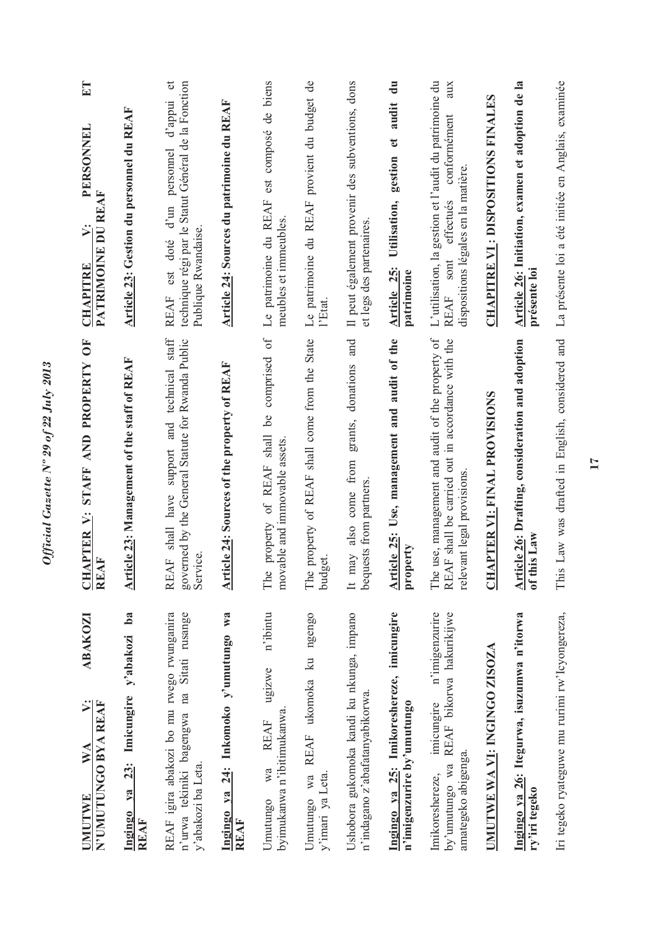| $E_{\rm T}$<br>PERSONNEL<br>PATRIMOINE DU REAF<br>$\ddot{v}$ :<br><b>CHAPITRE</b> | Article 23: Gestion du personnel du REAF                            | technique régi par le Statut Général de la Fonction<br>d'appui<br>personnel<br>d'un<br>Publique Rwandaise<br>est doté<br><b>REAF</b><br>$\operatorname{staff}$ | Article 24: Sources du patrimoine du REAF            | est composé de biens<br>Le patrimoine du REAF<br>meubles et immeubles.<br>of $\,$        | Le patrimoine du REAF provient du budget de<br>l'Etat.       | Il peut également provenir des subventions, dons<br>et legs des partenaires.          | gestion et audit du<br>Utilisation,<br>Article 25:<br>patrimoine        | L'utilisation, la gestion et l'audit du patrimoine du<br>aux<br>conformément<br>dispositions légales en la matière<br>effectués<br>REAF sont | <b>CHAPITRE VI : DISPOSITIONS FINALES</b> | Article 26: Initiation, examen et adoption de la<br>présente loi | La présente loi a été initiée en Anglais, examinée |
|-----------------------------------------------------------------------------------|---------------------------------------------------------------------|----------------------------------------------------------------------------------------------------------------------------------------------------------------|------------------------------------------------------|------------------------------------------------------------------------------------------|--------------------------------------------------------------|---------------------------------------------------------------------------------------|-------------------------------------------------------------------------|----------------------------------------------------------------------------------------------------------------------------------------------|-------------------------------------------|------------------------------------------------------------------|----------------------------------------------------|
| CHAPTER V: STAFF AND PROPERTY OF<br>REAF                                          | Article 23: Management of the staff of REAF                         | governed by the General Statute for Rwanda Public<br>shall have support and technical<br>Service.<br><b>REAF</b>                                               | Article 24: Sources of the property of REAF          | comprised<br>be<br>shall<br>able and immovable assets.<br>property of REAF<br>The<br>mov | property of REAF shall come from the State<br>budget.<br>The | donations and<br>grants,<br>from<br>bequests from partners.<br>come<br>also<br>It may | Article 25: Use, management and audit of the<br>property                | use, management and audit of the property of<br>REAF shall be carried out in accordance with the<br>relevant legal provisions<br>The         | APTER VI: FINAL PROVISIONS<br>E           | Article 26: Drafting, consideration and adoption<br>of this Law  | This Law was drafted in English, considered and    |
| ABAKOZI<br>$\ddot{ }$<br>N'UMUTUNGO BYA REAF<br>WA<br>UMUTWE                      | $ba$<br>y'abakozi<br>23: Imicungire<br>ya<br>Ingingo<br><b>REAF</b> | REAF igira abakozi bo mu rwego rwunganira<br>n'urwa tekiniki bagengwa na Sitati rusange<br>y'abakozi ba Leta.                                                  | Ingingo ya 24: Inkomoko y'umutungo wa<br><b>REAF</b> | n'ibintu<br>ugizwe<br>byimukanwa n'ibitimukanwa.<br><b>REAF</b><br>Wa<br>Umutungo        | REAF ukomoka ku ngengo<br>y'imari ya Leta.<br>wa<br>Umutungo | Ushobora gukomoka kandi ku nkunga, impano<br>n'indagano z'abafatanyabikorwa           | Ingingo ya 25: Imikoreshereze, imicungire<br>n'imigenzurire by'umutungo | n'imigenzurire<br>by'umutungo wa REAF bikorwa hakurikijwe<br>imicungire<br>amategeko abigenga<br>Imikoreshereze,                             | UMUTWE WA VI: INGINGO ZISOZA              | Ingingo ya 26: Itegurwa, isuzumwa n'itorwa<br>ry'iri tegeko      | Iri tegeko ryateguwe mu rurimi rw'lcyongereza,     |

Official Gazette Nº 29 of 22 July 2013